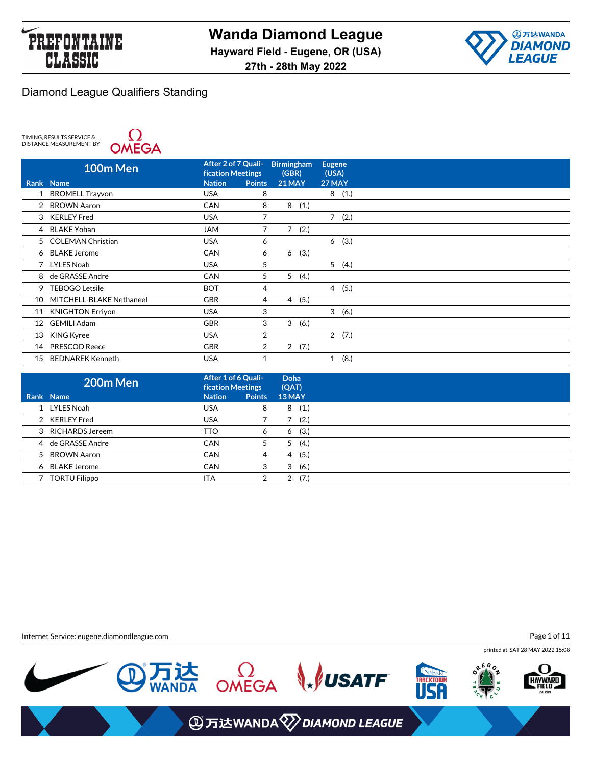



TIMING, RESULTS SERVICE &<br>DISTANCE MEASUREMENT BY



|    | 100m Men                 | After 2 of 7 Quali-<br><b>fication Meetings</b> |                | <b>Birmingham</b><br>(GBR) |      | <b>Eugene</b><br>(USA) |  |
|----|--------------------------|-------------------------------------------------|----------------|----------------------------|------|------------------------|--|
|    | Rank Name                | <b>Nation</b>                                   | <b>Points</b>  | <b>21 MAY</b>              |      | 27 MAY                 |  |
|    | <b>BROMELL Trayvon</b>   | <b>USA</b>                                      | 8              |                            |      | 8(1.)                  |  |
| 2  | <b>BROWN Aaron</b>       | <b>CAN</b>                                      | 8              | 8                          | (1.) |                        |  |
|    | 3 KERLEY Fred            | <b>USA</b>                                      |                |                            |      | 7(2.)                  |  |
| 4  | <b>BLAKE Yohan</b>       | <b>JAM</b>                                      | 7              | 7                          | (2.) |                        |  |
| 5  | <b>COLEMAN Christian</b> | <b>USA</b>                                      | 6              |                            |      | 6(3.)                  |  |
| 6  | <b>BLAKE Jerome</b>      | <b>CAN</b>                                      | 6              | 6                          | (3.) |                        |  |
|    | 7 LYLES Noah             | <b>USA</b>                                      | 5              |                            |      | 5(4.)                  |  |
| 8  | de GRASSE Andre          | <b>CAN</b>                                      | 5              | 5                          | (4.) |                        |  |
| 9  | <b>TEBOGO Letsile</b>    | <b>BOT</b>                                      | 4              |                            |      | (5.)<br>$\overline{4}$ |  |
| 10 | MITCHELL-BLAKE Nethaneel | <b>GBR</b>                                      | 4              | $\overline{4}$             | (5.) |                        |  |
| 11 | <b>KNIGHTON Erriyon</b>  | <b>USA</b>                                      | 3              |                            |      | 3(6.)                  |  |
| 12 | <b>GEMILI Adam</b>       | <b>GBR</b>                                      | 3              | 3(6.)                      |      |                        |  |
| 13 | <b>KING Kyree</b>        | <b>USA</b>                                      | 2              |                            |      | 2(7.)                  |  |
| 14 | <b>PRESCOD Reece</b>     | <b>GBR</b>                                      | $\overline{2}$ | 2                          | (7.) |                        |  |
| 15 | <b>BEDNAREK Kenneth</b>  | <b>USA</b>                                      |                |                            |      | (8.)<br>1              |  |

| 200m Men          | After 1 of 6 Quali-<br><b>fication Meetings</b> |               | Doha<br>(QAT) |
|-------------------|-------------------------------------------------|---------------|---------------|
| Rank Name         | <b>Nation</b>                                   | <b>Points</b> | 13 MAY        |
| 1 LYLES Noah      | <b>USA</b>                                      | 8             | (1.)<br>8     |
| 2 KERLEY Fred     | <b>USA</b>                                      |               | (2.)          |
| 3 RICHARDS Jereem | <b>TTO</b>                                      | 6             | (3.)<br>6     |
| 4 de GRASSE Andre | <b>CAN</b>                                      | 5             | (4.)<br>5     |
| 5 BROWN Aaron     | <b>CAN</b>                                      | 4             | (5.)<br>4     |
| 6 BLAKE Jerome    | <b>CAN</b>                                      | 3             | (6.)<br>3     |
| 7 TORTU Filippo   | <b>ITA</b>                                      | 2             | (7.)<br>2     |

Internet Service: eugene.diamondleague.com

Page 1 of 11

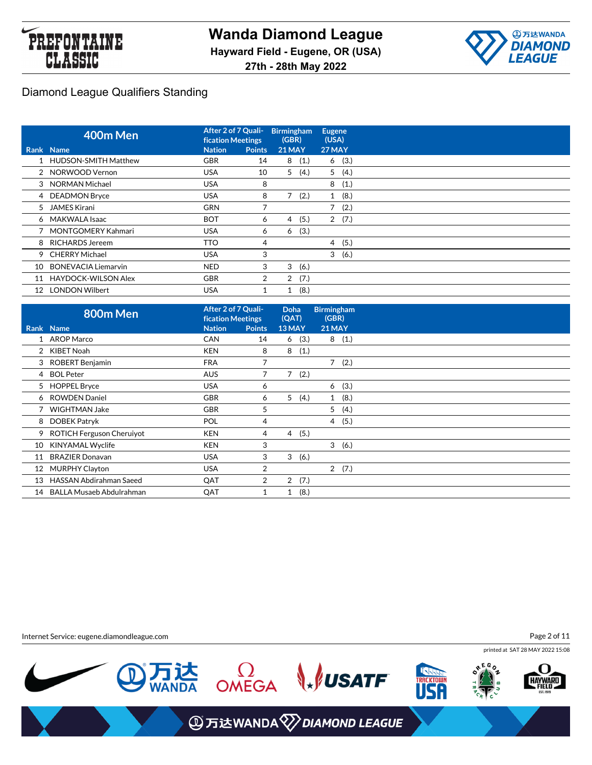



|    | 400m Men                   | After 2 of 7 Quali-<br>fication Meetings |                | <b>Birmingham</b><br>(GBR) |       | <b>Eugene</b><br>(USA) |       |
|----|----------------------------|------------------------------------------|----------------|----------------------------|-------|------------------------|-------|
|    | Rank Name                  | <b>Nation</b>                            | <b>Points</b>  | <b>21 MAY</b>              |       | 27 MAY                 |       |
|    | 1 HUDSON-SMITH Matthew     | <b>GBR</b>                               | 14             |                            | 8(1.) |                        | 6(3.) |
|    | 2 NORWOOD Vernon           | <b>USA</b>                               | 10             | 5                          | (4.)  |                        | 5(4.) |
|    | 3 NORMAN Michael           | <b>USA</b>                               | 8              |                            |       | 8                      | (1.)  |
|    | 4 DEADMON Bryce            | <b>USA</b>                               | 8              |                            | (2.)  | $\mathbf{1}$           | (8.)  |
|    | 5 JAMES Kirani             | <b>GRN</b>                               | 7              |                            |       | 7                      | (2.)  |
|    | 6 MAKWALA Isaac            | <b>BOT</b>                               | 6              | 4                          | (5.)  |                        | 2(7.) |
|    | 7 MONTGOMERY Kahmari       | <b>USA</b>                               | 6              | 6                          | (3.)  |                        |       |
|    | 8 RICHARDS Jereem          | TTO                                      | 4              |                            |       | $\overline{4}$         | (5.)  |
|    | 9 CHERRY Michael           | <b>USA</b>                               | 3              |                            |       | 3                      | (6.)  |
| 10 | <b>BONEVACIA Liemarvin</b> | <b>NED</b>                               | 3              | 3                          | (6.)  |                        |       |
| 11 | <b>HAYDOCK-WILSON Alex</b> | <b>GBR</b>                               | $\overline{2}$ | $\overline{2}$             | (7.)  |                        |       |
| 12 | <b>LONDON Wilbert</b>      | <b>USA</b>                               |                | 1                          | (8.)  |                        |       |

|    | 800m Men                       | After 2 of 7 Quali-<br><b>fication Meetings</b> |                | <b>Doha</b><br>(QAT) |      | <b>Birmingham</b><br>(GBR) |       |
|----|--------------------------------|-------------------------------------------------|----------------|----------------------|------|----------------------------|-------|
|    | Rank Name                      | <b>Nation</b>                                   | <b>Points</b>  | 13 MAY               |      | <b>21 MAY</b>              |       |
|    | 1 AROP Marco                   | <b>CAN</b>                                      | 14             | 6                    | (3.) |                            | 8(1.) |
|    | 2 KIBET Noah                   | <b>KEN</b>                                      | 8              | 8                    | (1.) |                            |       |
|    | 3 ROBERT Benjamin              | <b>FRA</b>                                      | 7              |                      |      |                            | 7(2.) |
|    | 4 BOL Peter                    | <b>AUS</b>                                      | 7              | $\overline{7}$       | (2.) |                            |       |
|    | 5 HOPPEL Bryce                 | <b>USA</b>                                      | 6              |                      |      | 6                          | (3.)  |
|    | 6 ROWDEN Daniel                | <b>GBR</b>                                      | 6              | 5 <sup>5</sup>       | (4.) |                            | 1(8.) |
|    | WIGHTMAN Jake                  | <b>GBR</b>                                      | 5              |                      |      |                            | 5(4.) |
| 8  | DOBEK Patryk                   | <b>POL</b>                                      | 4              |                      |      | $\overline{4}$             | (5.)  |
|    | 9 ROTICH Ferguson Cheruiyot    | <b>KEN</b>                                      | 4              | 4                    | (5.) |                            |       |
| 10 | KINYAMAL Wyclife               | <b>KEN</b>                                      | 3              |                      |      |                            | 3(6.) |
| 11 | <b>BRAZIER Donavan</b>         | <b>USA</b>                                      | 3              | 3                    | (6.) |                            |       |
| 12 | <b>MURPHY Clayton</b>          | <b>USA</b>                                      | 2              |                      |      |                            | 2(7.) |
| 13 | <b>HASSAN Abdirahman Saeed</b> | QAT                                             | $\overline{2}$ | $\overline{2}$       | (7.) |                            |       |
| 14 | BALLA Musaeb Abdulrahman       | QAT                                             |                | 1                    | (8.) |                            |       |

Internet Service: eugene.diamondleague.com

Page 2 of 11

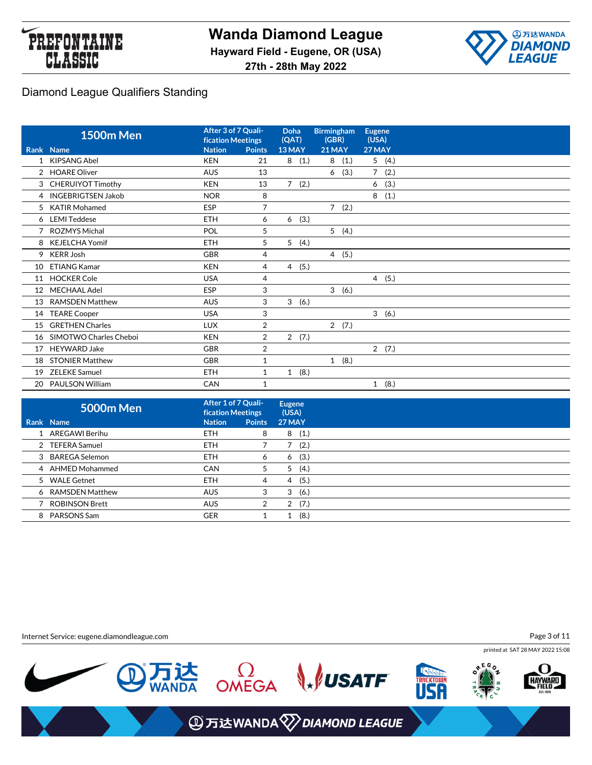



|    | <b>1500m Men</b>       | After 3 of 7 Quali-<br><b>fication Meetings</b> |                | <b>Doha</b><br>(QAT)   | <b>Birmingham</b><br>(GBR) | <b>Eugene</b><br>(USA) |
|----|------------------------|-------------------------------------------------|----------------|------------------------|----------------------------|------------------------|
|    | Rank Name              | <b>Nation</b>                                   | <b>Points</b>  | 13 MAY                 | <b>21 MAY</b>              | 27 MAY                 |
| 1  | <b>KIPSANG Abel</b>    | <b>KEN</b>                                      | 21             | (1.)<br>8              | (1.)<br>8                  | 5<br>(4.)              |
| 2  | <b>HOARE Oliver</b>    | <b>AUS</b>                                      | 13             |                        | (3.)<br>6                  | $\overline{7}$<br>(2.) |
|    | 3 CHERUIYOT Timothy    | <b>KEN</b>                                      | 13             | (2.)<br>$\overline{7}$ |                            | (3.)<br>6              |
|    | 4 INGEBRIGTSEN Jakob   | <b>NOR</b>                                      | 8              |                        |                            | 8<br>(1.)              |
| 5  | <b>KATIR Mohamed</b>   | <b>ESP</b>                                      | $\overline{7}$ |                        | 7(2.)                      |                        |
|    | 6 LEMI Teddese         | <b>ETH</b>                                      | 6              | (3.)<br>6              |                            |                        |
|    | ROZMYS Michal          | POL                                             | 5              |                        | 5(4.)                      |                        |
| 8  | <b>KEJELCHA Yomif</b>  | <b>ETH</b>                                      | 5              | 5<br>(4.)              |                            |                        |
| 9  | <b>KERR Josh</b>       | GBR                                             | 4              |                        | 4(5.)                      |                        |
| 10 | <b>ETIANG Kamar</b>    | <b>KEN</b>                                      | 4              | (5.)<br>4              |                            |                        |
| 11 | <b>HOCKER Cole</b>     | <b>USA</b>                                      | 4              |                        |                            | 4(5.)                  |
| 12 | <b>MECHAAL Adel</b>    | <b>ESP</b>                                      | 3              |                        | 3(6.)                      |                        |
| 13 | <b>RAMSDEN Matthew</b> | <b>AUS</b>                                      | 3              | 3<br>(6.)              |                            |                        |
| 14 | <b>TEARE Cooper</b>    | <b>USA</b>                                      | 3              |                        |                            | 3(6.)                  |
| 15 | <b>GRETHEN Charles</b> | <b>LUX</b>                                      | $\overline{2}$ |                        | 2(7.)                      |                        |
| 16 | SIMOTWO Charles Cheboi | <b>KEN</b>                                      | 2              | 2(7.)                  |                            |                        |
| 17 | <b>HEYWARD Jake</b>    | <b>GBR</b>                                      | $\overline{2}$ |                        |                            | 2(7.)                  |
| 18 | <b>STONIER Matthew</b> | GBR                                             | $\mathbf{1}$   |                        | 1(8.)                      |                        |
| 19 | <b>ZELEKE Samuel</b>   | <b>ETH</b>                                      | 1              | (8.)<br>$\mathbf{1}$   |                            |                        |
|    | 20 PAULSON William     | CAN                                             | 1              |                        |                            | (8.)<br>1              |

| <b>5000m Men</b>      | After 1 of 7 Quali-<br><b>fication Meetings</b> |               | <b>Eugene</b><br>(USA) |
|-----------------------|-------------------------------------------------|---------------|------------------------|
| Rank Name             | <b>Nation</b>                                   | <b>Points</b> | <b>27 MAY</b>          |
| 1 AREGAWI Berihu      | <b>ETH</b>                                      | 8             | (1.)<br>8              |
| 2 TEFERA Samuel       | <b>ETH</b>                                      |               | (2.)                   |
| 3 BAREGA Selemon      | <b>ETH</b>                                      | 6             | (3.)<br>6              |
| 4 AHMED Mohammed      | <b>CAN</b>                                      | 5             | (4.)<br>5              |
| 5 WALE Getnet         | <b>ETH</b>                                      | 4             | (5.)<br>4              |
| 6 RAMSDEN Matthew     | <b>AUS</b>                                      | 3             | (6.)<br>3              |
| <b>ROBINSON Brett</b> | <b>AUS</b>                                      | 2             | (7.)<br>2              |
| 8 PARSONS Sam         | <b>GER</b>                                      |               | (8.)                   |

Internet Service: eugene.diamondleague.com

Page 3 of 11

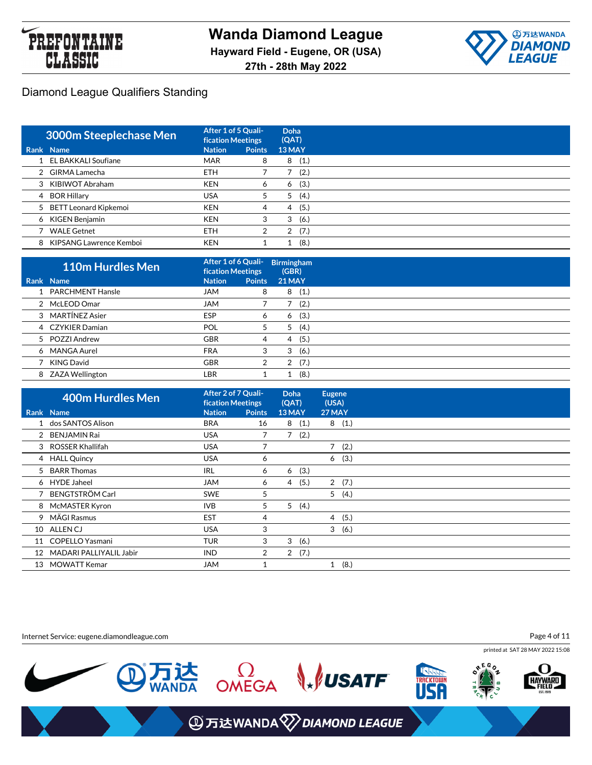



| 3000m Steeplechase Men    | After 1 of 5 Quali-<br><b>fication Meetings</b> |               | Doha<br>(QAT) |
|---------------------------|-------------------------------------------------|---------------|---------------|
| Rank Name                 | <b>Nation</b>                                   | <b>Points</b> | 13 MAY        |
| 1 EL BAKKALI Soufiane     | <b>MAR</b>                                      | 8             | (1.)<br>8     |
| 2 GIRMA Lamecha           | <b>ETH</b>                                      |               | (2.)          |
| 3 KIBIWOT Abraham         | <b>KEN</b>                                      | 6             | (3.)<br>6     |
| 4 BOR Hillary             | <b>USA</b>                                      | 5             | (4.)<br>5     |
| 5 BETT Leonard Kipkemoi   | <b>KEN</b>                                      | 4             | (5.)<br>4     |
| 6 KIGEN Benjamin          | <b>KEN</b>                                      | 3             | (6.)<br>3     |
| <b>WALE Getnet</b>        | <b>ETH</b>                                      | 2             | (7.)<br>2     |
| 8 KIPSANG Lawrence Kemboi | <b>KEN</b>                                      |               | (8.)          |

| <b>110m Hurdles Men</b> | After 1 of 6 Quali-<br><b>fication Meetings</b> |               | <b>Birmingham</b><br>(GBR) |  |
|-------------------------|-------------------------------------------------|---------------|----------------------------|--|
| Rank Name               | <b>Nation</b>                                   | <b>Points</b> | <b>21 MAY</b>              |  |
| 1 PARCHMENT Hansle      | <b>MAL</b>                                      | 8             | (1.)<br>8                  |  |
| 2 McLEOD Omar           | <b>JAM</b>                                      |               | (2.)                       |  |
| 3 MARTÍNEZ Asier        | <b>ESP</b>                                      | 6             | (3.)<br>6                  |  |
| 4 CZYKIER Damian        | POL                                             | 5             | (4.)<br>5                  |  |
| 5 POZZI Andrew          | <b>GBR</b>                                      | 4             | (5.)<br>4                  |  |
| 6 MANGA Aurel           | <b>FRA</b>                                      | 3             | 3<br>(6.)                  |  |
| KING David              | <b>GBR</b>                                      |               | (7.)<br>2                  |  |
| 8 ZAZA Wellington       | LBR                                             |               | (8.)                       |  |

|    | <b>400m Hurdles Men</b> | After 2 of 7 Quali-<br>fication Meetings |                | <b>Doha</b><br>(QAT) |       | <b>Eugene</b><br>(USA) |       |
|----|-------------------------|------------------------------------------|----------------|----------------------|-------|------------------------|-------|
|    | Rank Name               | <b>Nation</b>                            | <b>Points</b>  | 13 MAY               |       | 27 MAY                 |       |
|    | 1 dos SANTOS Alison     | <b>BRA</b>                               | 16             |                      | 8(1.) |                        | 8(1.) |
|    | 2 BENJAMIN Rai          | <b>USA</b>                               |                |                      | 7(2.) |                        |       |
|    | 3 ROSSER Khallifah      | <b>USA</b>                               |                |                      |       |                        | 7(2.) |
|    | 4 HALL Quincy           | <b>USA</b>                               | 6              |                      |       | 6                      | (3.)  |
|    | 5 BARR Thomas           | <b>IRL</b>                               | 6              |                      | 6(3.) |                        |       |
|    | 6 HYDE Jaheel           | <b>JAM</b>                               | 6              | $\overline{4}$       | (5.)  |                        | 2(7.) |
|    | 7 BENGTSTRÖM Carl       | <b>SWE</b>                               | 5              |                      |       |                        | 5(4.) |
|    | 8 McMASTER Kyron        | <b>IVB</b>                               | 5              | 5 <sup>5</sup>       | (4.)  |                        |       |
|    | 9 MÄGI Rasmus           | <b>EST</b>                               | 4              |                      |       | 4                      | (5.)  |
|    | 10 ALLENCJ              | <b>USA</b>                               | 3              |                      |       | 3                      | (6.)  |
|    | 11 COPELLO Yasmani      | <b>TUR</b>                               | 3              |                      | 3(6.) |                        |       |
| 12 | MADARI PALLIYALIL Jabir | <b>IND</b>                               | $\overline{2}$ |                      | 2(7.) |                        |       |
| 13 | MOWATT Kemar            | <b>JAM</b>                               | 1              |                      |       | 1                      | (8.)  |

Page 4 of 11

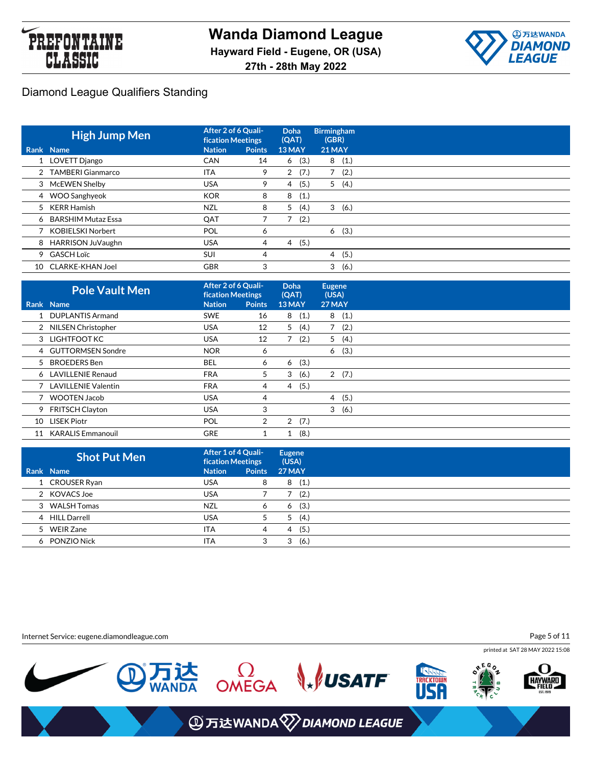



|    | <b>High Jump Men</b> | After 2 of 6 Quali-<br><b>fication Meetings</b> |               | <b>Doha</b><br>(QAT) | <b>Birmingham</b><br>(GBR) |
|----|----------------------|-------------------------------------------------|---------------|----------------------|----------------------------|
|    | Rank Name            | <b>Nation</b>                                   | <b>Points</b> | 13 MAY               | <b>21 MAY</b>              |
|    | 1 LOVETT Django      | <b>CAN</b>                                      | 14            | (3.)<br>6            | (1.)<br>8                  |
|    | 2 TAMBERI Gianmarco  | <b>ITA</b>                                      | 9             | (7.)<br>2            | (2.)                       |
|    | 3 McEWEN Shelby      | <b>USA</b>                                      | 9             | (5.)<br>4            | (4.)<br>5                  |
|    | 4 WOO Sanghyeok      | <b>KOR</b>                                      | 8             | (1.)<br>8            |                            |
|    | 5 KERR Hamish        | <b>NZL</b>                                      | 8             | 5<br>(4.)            | 3<br>(6.)                  |
|    | 6 BARSHIM Mutaz Essa | QAT                                             |               | ⇁<br>(2.)            |                            |
|    | KOBIELSKI Norbert    | <b>POL</b>                                      | 6             |                      | (3.)<br>6                  |
| 8  | HARRISON JuVaughn    | <b>USA</b>                                      | 4             | (5.)<br>4            |                            |
|    | 9 GASCH Loïc         | SUI                                             | 4             |                      | (5.)<br>4                  |
| 10 | CLARKE-KHAN Joel     | <b>GBR</b>                                      | 3             |                      | 3<br>(6.)                  |

|    | <b>Pole Vault Men</b>    | After 2 of 6 Quali-<br><b>fication Meetings</b> |               | <b>Doha</b><br>(QAT)   | <b>Eugene</b><br>(USA) |  |
|----|--------------------------|-------------------------------------------------|---------------|------------------------|------------------------|--|
|    | Rank Name                | <b>Nation</b>                                   | <b>Points</b> | 13 MAY                 | 27 MAY                 |  |
|    | <b>DUPLANTIS Armand</b>  | <b>SWE</b>                                      | 16            | (1.)<br>8              | 8<br>(1.)              |  |
|    | 2 NILSEN Christopher     | USA.                                            | 12            | 5(4.)                  | 7(2.)                  |  |
|    | 3 LIGHTFOOT KC           | <b>USA</b>                                      | 12            | (2.)                   | 5(4.)                  |  |
|    | 4 GUTTORMSEN Sondre      | <b>NOR</b>                                      | 6             |                        | (3.)<br>6              |  |
| 5  | <b>BROEDERS Ben</b>      | BEL                                             | 6             | (3.)<br>6              |                        |  |
|    | 6 LAVILLENIE Renaud      | <b>FRA</b>                                      | 5             | 3<br>(6.)              | 2(7.)                  |  |
|    | 7 LAVILLENIE Valentin    | <b>FRA</b>                                      | 4             | (5.)<br>4              |                        |  |
|    | 7 WOOTEN Jacob           | <b>USA</b>                                      | 4             |                        | 4(5.)                  |  |
|    | 9 FRITSCH Clayton        | <b>USA</b>                                      | 3             |                        | (6.)<br>3              |  |
| 10 | <b>LISEK Piotr</b>       | <b>POL</b>                                      | 2             | (7.)<br>$\overline{2}$ |                        |  |
| 11 | <b>KARALIS Emmanouil</b> | <b>GRE</b>                                      |               | (8.)<br>1              |                        |  |

| <b>Shot Put Men</b> | After 1 of 4 Quali-<br><b>fication Meetings</b> |               | <b>Eugene</b><br>(USA) |
|---------------------|-------------------------------------------------|---------------|------------------------|
| Rank Name           | <b>Nation</b>                                   | <b>Points</b> | <b>27 MAY</b>          |
| 1 CROUSER Ryan      | <b>USA</b>                                      | 8             | (1.)<br>8              |
| 2 KOVACS Joe        | <b>USA</b>                                      |               | (2.)                   |
| 3 WALSH Tomas       | <b>NZL</b>                                      | 6             | (3.)<br>6              |
| 4 HILL Darrell      | <b>USA</b>                                      |               | (4.)<br>5              |
| 5 WEIR Zane         | <b>ITA</b>                                      | 4             | (5.)<br>4              |
| 6 PONZIO Nick       | <b>ITA</b>                                      | 3             | (6.)<br>3              |

Internet Service: eugene.diamondleague.com

Page 5 of 11

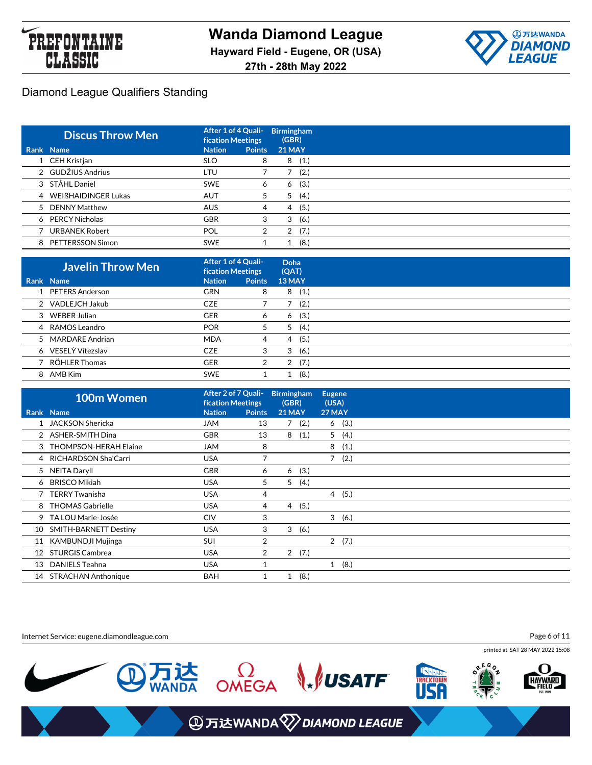



| <b>Discus Throw Men</b> | After 1 of 4 Quali-<br><b>fication Meetings</b> |               | <b>Birmingham</b><br>(GBR) |      |
|-------------------------|-------------------------------------------------|---------------|----------------------------|------|
| Rank Name               | <b>Nation</b>                                   | <b>Points</b> | <b>21 MAY</b>              |      |
| 1 CEH Kristjan          | <b>SLO</b>                                      | 8             | 8                          | (1.) |
| 2 GUDŽIUS Andrius       | LTU                                             |               |                            | (2.) |
| 3 STÅHL Daniel          | <b>SWE</b>                                      | O             | 6                          | (3.) |
| 4 WEIBHAIDINGER Lukas   | <b>AUT</b>                                      | 5             | 5                          | (4.) |
| 5 DENNY Matthew         | <b>AUS</b>                                      | 4             | 4                          | (5.) |
| 6 PERCY Nicholas        | <b>GBR</b>                                      | 3             | 3                          | (6.) |
| <b>URBANEK Robert</b>   | POL                                             | 2             | 2                          | (7.) |
| 8 PETTERSSON Simon      | <b>SWE</b>                                      |               |                            | (8.) |

| <b>Javelin Throw Men</b> | After 1 of 4 Quali-<br><b>fication Meetings</b> |               | Doha<br>(QAT) |
|--------------------------|-------------------------------------------------|---------------|---------------|
| Rank Name                | <b>Nation</b>                                   | <b>Points</b> | 13 MAY        |
| 1 PETERS Anderson        | <b>GRN</b>                                      | 8             | (1.)<br>8     |
| 2 VADLEJCH Jakub         | <b>CZE</b>                                      |               | (2.)          |
| 3 WEBER Julian           | <b>GER</b>                                      | 6             | (3.)<br>6     |
| 4 RAMOS Leandro          | <b>POR</b>                                      | 5             | (4.)<br>5     |
| 5 MARDARE Andrian        | <b>MDA</b>                                      | 4             | (5.)<br>4     |
| 6 VESELÝ Vítezslav       | <b>CZE</b>                                      | 3             | (6.)<br>3     |
| 7 RÖHLER Thomas          | <b>GER</b>                                      | 2             | (7.)<br>2     |
| 8 AMB Kim                | <b>SWE</b>                                      |               | (8.)          |

|    | 100m Women                   | After 2 of 7 Quali-<br><b>fication Meetings</b> |                |              | <b>Birmingham</b><br>(GBR) | <b>Eugene</b><br>(USA) |       |
|----|------------------------------|-------------------------------------------------|----------------|--------------|----------------------------|------------------------|-------|
|    | Rank Name                    | <b>Nation</b>                                   | <b>Points</b>  |              | <b>21 MAY</b>              | 27 MAY                 |       |
|    | 1 JACKSON Shericka           | <b>JAM</b>                                      | 13             |              | 7(2.)                      | 6                      | (3.)  |
|    | 2 ASHER-SMITH Dina           | <b>GBR</b>                                      | 13             | 8            | (1.)                       | 5                      | (4.)  |
|    | 3 THOMPSON-HERAH Elaine      | <b>JAM</b>                                      | 8              |              |                            | 8                      | (1.)  |
|    | 4 RICHARDSON Sha'Carri       | <b>USA</b>                                      |                |              |                            |                        | 7(2.) |
|    | 5 NEITA Daryll               | <b>GBR</b>                                      | 6              |              | (3.)<br>6                  |                        |       |
|    | 6 BRISCO Mikiah              | <b>USA</b>                                      | 5              | 5            | (4.)                       |                        |       |
|    | <b>TERRY Twanisha</b>        | <b>USA</b>                                      | 4              |              |                            | $\overline{4}$         | (5.)  |
| 8  | <b>THOMAS Gabrielle</b>      | <b>USA</b>                                      | 4              |              | (5.)<br>$\overline{4}$     |                        |       |
| 9  | TA LOU Marie-Josée           | <b>CIV</b>                                      | 3              |              |                            |                        | 3(6.) |
| 10 | <b>SMITH-BARNETT Destiny</b> | <b>USA</b>                                      | 3              |              | 3<br>(6.)                  |                        |       |
| 11 | <b>KAMBUNDJI Mujinga</b>     | SUI                                             | 2              |              |                            |                        | 2(7.) |
|    | 12 STURGIS Cambrea           | <b>USA</b>                                      | $\overline{2}$ |              | 2(7.)                      |                        |       |
| 13 | <b>DANIELS Teahna</b>        | <b>USA</b>                                      | 1              |              |                            | $\mathbf{1}$           | (8.)  |
|    | 14 STRACHAN Anthonique       | <b>BAH</b>                                      | 1              | $\mathbf{1}$ | (8.)                       |                        |       |

Internet Service: eugene.diamondleague.com

Page 6 of 11

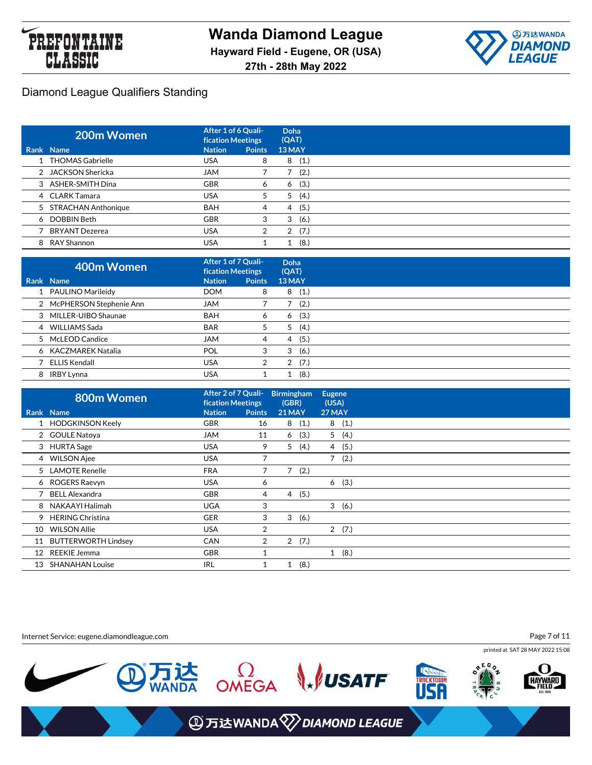



| 200m Women            | After 1 of 6 Quali-<br><b>fication Meetings</b> |               | Doha<br>(QAT) |
|-----------------------|-------------------------------------------------|---------------|---------------|
| Rank Name             | <b>Nation</b>                                   | <b>Points</b> | 13 MAY        |
| 1 THOMAS Gabrielle    | <b>USA</b>                                      | 8             | (1.)<br>8     |
| 2 JACKSON Shericka    | <b>JAM</b>                                      |               | (2.)          |
| 3 ASHER-SMITH Dina    | <b>GBR</b>                                      | 6             | (3.)<br>6     |
| 4 CLARK Tamara        | <b>USA</b>                                      | 5             | (4.)<br>5     |
| 5 STRACHAN Anthonique | <b>BAH</b>                                      | 4             | (5.)<br>4     |
| 6 DOBBIN Beth         | <b>GBR</b>                                      | 3             | (6.)<br>3     |
| BRYANT Dezerea        | <b>USA</b>                                      | 2             | (7.)<br>2     |
| 8 RAY Shannon         | <b>USA</b>                                      |               | (8.)          |

| 400m Women                | After 1 of 7 Quali-<br><b>fication Meetings</b> |               | Doha<br>(QAT) |
|---------------------------|-------------------------------------------------|---------------|---------------|
| Rank Name                 | <b>Nation</b>                                   | <b>Points</b> | 13 MAY        |
| 1 PAULINO Marileidy       | <b>DOM</b>                                      | 8             | (1.)<br>8     |
| 2 McPHERSON Stephenie Ann | <b>JAM</b>                                      |               | (2.)          |
| 3 MILLER-UIBO Shaunae     | <b>BAH</b>                                      | 6             | (3.)<br>6     |
| 4 WILLIAMS Sada           | <b>BAR</b>                                      | 5             | (4.)<br>5     |
| 5 McLEOD Candice          | <b>JAM</b>                                      | 4             | (5.)<br>4     |
| 6 KACZMAREK Natalia       | <b>POL</b>                                      | 3             | (6.)<br>3     |
| ELLIS Kendall             | <b>USA</b>                                      | 2             | (7.)<br>2     |
| 8 IRBY Lynna              | <b>USA</b>                                      |               | (8.)          |

|    | 800m Women              | After 2 of 7 Quali-<br><b>fication Meetings</b> |                | <b>Birmingham</b><br>(GBR) |       | <b>Eugene</b><br>(USA) |       |
|----|-------------------------|-------------------------------------------------|----------------|----------------------------|-------|------------------------|-------|
|    | <b>Rank Name</b>        | <b>Nation</b>                                   | <b>Points</b>  | <b>21 MAY</b>              |       | 27 MAY                 |       |
|    | 1 HODGKINSON Keely      | <b>GBR</b>                                      | 16             | 8                          | (1.)  | 8                      | (1.)  |
|    | 2 GOULE Natoya          | JAM                                             | 11             | 6                          | (3.)  | 5                      | (4.)  |
|    | 3 HURTA Sage            | <b>USA</b>                                      | 9              | 5 <sup>1</sup>             | (4.)  | 4                      | (5.)  |
|    | 4 WILSON Ajee           | <b>USA</b>                                      | 7              |                            |       | $7^{\circ}$            | (2.)  |
|    | 5 LAMOTE Renelle        | <b>FRA</b>                                      |                |                            | 7(2.) |                        |       |
|    | 6 ROGERS Raevyn         | <b>USA</b>                                      | 6              |                            |       | 6                      | (3.)  |
|    | 7 BELL Alexandra        | <b>GBR</b>                                      | 4              |                            | 4(5.) |                        |       |
| 8  | NAKAAYI Halimah         | <b>UGA</b>                                      | 3              |                            |       |                        | 3(6.) |
| 9  | <b>HERING Christina</b> | <b>GER</b>                                      | 3              |                            | 3(6.) |                        |       |
| 10 | <b>WILSON Allie</b>     | <b>USA</b>                                      | 2              |                            |       |                        | 2(7.) |
|    | 11 BUTTERWORTH Lindsey  | <b>CAN</b>                                      | $\overline{2}$ |                            | 2(7.) |                        |       |
| 12 | <b>REEKIE Jemma</b>     | <b>GBR</b>                                      | и              |                            |       | $\mathbf{1}$           | (8.)  |
| 13 | <b>SHANAHAN Louise</b>  | IRL                                             |                |                            | (8.)  |                        |       |

Internet Service: eugene.diamondleague.com

Page 7 of 11

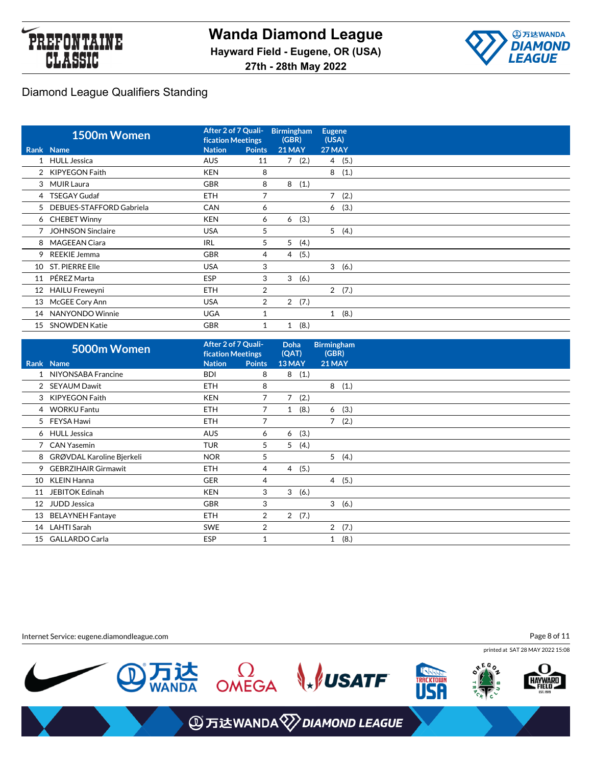



|                 | 1500m Women                | After 2 of 7 Quali-<br><b>fication Meetings</b> |                | <b>Birmingham</b><br>(GBR) |       | <b>Eugene</b><br>(USA) |       |
|-----------------|----------------------------|-------------------------------------------------|----------------|----------------------------|-------|------------------------|-------|
|                 | Rank Name                  | <b>Nation</b>                                   | <b>Points</b>  | <b>21 MAY</b>              |       | <b>27 MAY</b>          |       |
|                 | 1 HULL Jessica             | <b>AUS</b>                                      | 11             |                            | 7(2.) |                        | 4(5.) |
|                 | 2 KIPYEGON Faith           | <b>KEN</b>                                      | 8              |                            |       | 8                      | (1.)  |
|                 | 3 MUIR Laura               | <b>GBR</b>                                      | 8              | 8                          | (1.)  |                        |       |
|                 | 4 TSEGAY Gudaf             | <b>ETH</b>                                      | 7              |                            |       |                        | 7(2.) |
|                 | 5 DEBUES-STAFFORD Gabriela | <b>CAN</b>                                      | 6              |                            |       | 6                      | (3.)  |
|                 | 6 CHEBET Winny             | <b>KEN</b>                                      | 6              | 6                          | (3.)  |                        |       |
|                 | <b>JOHNSON Sinclaire</b>   | <b>USA</b>                                      | 5              |                            |       | 5                      | (4.)  |
| 8               | <b>MAGEEAN Ciara</b>       | <b>IRL</b>                                      | 5              | 5                          | (4.)  |                        |       |
| 9               | <b>REEKIE Jemma</b>        | <b>GBR</b>                                      | 4              | 4                          | (5.)  |                        |       |
|                 | 10 ST. PIERRE Elle         | <b>USA</b>                                      | 3              |                            |       |                        | 3(6.) |
| 11              | PÉREZ Marta                | <b>ESP</b>                                      | 3              | 3                          | (6.)  |                        |       |
| 12 <sup>2</sup> | <b>HAILU Freweyni</b>      | ETH.                                            | 2              |                            |       |                        | 2(7.) |
|                 | 13 McGEE Cory Ann          | <b>USA</b>                                      | $\overline{2}$ |                            | 2(7.) |                        |       |
| 14              | NANYONDO Winnie            | <b>UGA</b>                                      |                |                            |       | $\mathbf{1}$           | (8.)  |
| 15              | <b>SNOWDEN Katie</b>       | <b>GBR</b>                                      |                | 1                          | (8.)  |                        |       |

|    | 5000m Women                | After 2 of 7 Quali-<br><b>fication Meetings</b> |               | <b>Doha</b><br>(QAT)   | <b>Birmingham</b><br>(GBR) |  |
|----|----------------------------|-------------------------------------------------|---------------|------------------------|----------------------------|--|
|    | Rank Name                  | <b>Nation</b>                                   | <b>Points</b> | 13 MAY                 | <b>21 MAY</b>              |  |
|    | NIYONSABA Francine         | <b>BDI</b>                                      | 8             | 8<br>(1.)              |                            |  |
|    | 2 SEYAUM Dawit             | <b>ETH</b>                                      | 8             |                        | 8<br>(1.)                  |  |
|    | 3 KIPYEGON Faith           | <b>KEN</b>                                      | 7             | $7^{\circ}$<br>(2.)    |                            |  |
| 4  | <b>WORKU Fantu</b>         | <b>ETH</b>                                      | 7             | (8.)<br>1              | (3.)<br>6                  |  |
|    | 5 FEYSA Hawi               | <b>ETH</b>                                      | 7             |                        | $\overline{7}$<br>(2.)     |  |
|    | 6 HULL Jessica             | <b>AUS</b>                                      | 6             | (3.)<br>6              |                            |  |
|    | 7 CAN Yasemin              | <b>TUR</b>                                      | 5             | 5<br>(4.)              |                            |  |
| 8  | GRØVDAL Karoline Bjerkeli  | <b>NOR</b>                                      | 5             |                        | 5<br>(4.)                  |  |
| 9  | <b>GEBRZIHAIR Girmawit</b> | <b>ETH</b>                                      | 4             | (5.)<br>4              |                            |  |
| 10 | <b>KLEIN Hanna</b>         | <b>GER</b>                                      | 4             |                        | 4(5.)                      |  |
| 11 | <b>JEBITOK Edinah</b>      | <b>KEN</b>                                      | 3             | 3<br>(6.)              |                            |  |
| 12 | <b>JUDD Jessica</b>        | <b>GBR</b>                                      | 3             |                        | 3<br>(6.)                  |  |
| 13 | <b>BELAYNEH Fantaye</b>    | <b>ETH</b>                                      | 2             | $\overline{2}$<br>(7.) |                            |  |
|    | 14 LAHTI Sarah             | <b>SWE</b>                                      | 2             |                        | 2(7.)                      |  |
| 15 | <b>GALLARDO Carla</b>      | <b>ESP</b>                                      |               |                        | (8.)                       |  |

Internet Service: eugene.diamondleague.com

Page 8 of 11

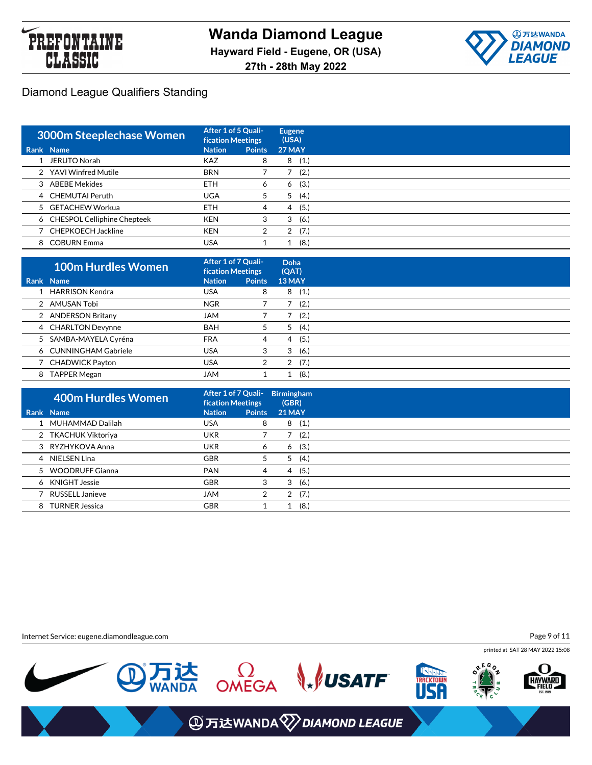



| 3000m Steeplechase Women      | After 1 of 5 Quali-<br><b>fication Meetings</b> |               | <b>Eugene</b><br>(USA) |  |  |  |
|-------------------------------|-------------------------------------------------|---------------|------------------------|--|--|--|
| Rank Name                     | <b>Nation</b>                                   | <b>Points</b> | <b>27 MAY</b>          |  |  |  |
| 1 JERUTO Norah                | <b>KAZ</b>                                      | 8             | (1.)<br>8              |  |  |  |
| 2 YAVI Winfred Mutile         | <b>BRN</b>                                      |               | (2.)                   |  |  |  |
| 3 ABEBE Mekides               | <b>ETH</b>                                      | 6             | (3.)<br>6              |  |  |  |
| 4 CHEMUTAI Peruth             | <b>UGA</b>                                      | 5             | (4.)<br>5              |  |  |  |
| 5 GETACHEW Workua             | <b>ETH</b>                                      | 4             | (5.)<br>4              |  |  |  |
| 6 CHESPOL Celliphine Chepteek | <b>KEN</b>                                      | 3             | 3<br>(6.)              |  |  |  |
| 7 CHEPKOECH Jackline          | <b>KEN</b>                                      | 2             | (7.)<br>2              |  |  |  |
| 8 COBURN Emma                 | USA                                             |               | (8.)                   |  |  |  |

|   | <b>100m Hurdles Women</b> | After 1 of 7 Quali-<br><b>fication Meetings</b> |               | Doha<br>(QAT) |
|---|---------------------------|-------------------------------------------------|---------------|---------------|
|   | Rank Name                 | <b>Nation</b>                                   | <b>Points</b> | 13 MAY        |
|   | 1 HARRISON Kendra         | <b>USA</b>                                      | 8             | (1.)<br>8     |
|   | 2 AMUSAN Tobi             | <b>NGR</b>                                      |               | (2.)          |
|   | 2 ANDERSON Britany        | <b>JAM</b>                                      |               | (2.)          |
|   | 4 CHARLTON Devynne        | <b>BAH</b>                                      | 5             | (4.)<br>5     |
|   | 5 SAMBA-MAYELA Cyréna     | <b>FRA</b>                                      | 4             | (5.)<br>4     |
|   | 6 CUNNINGHAM Gabriele     | <b>USA</b>                                      | 3             | (6.)<br>3     |
|   | 7 CHADWICK Payton         | <b>USA</b>                                      |               | (7.)<br>2     |
| 8 | <b>TAPPER Megan</b>       | <b>JAM</b>                                      |               | (8.)          |

| 400m Hurdles Women     |                                                                                                                                                                 |               |                                                 |                                                                                  |
|------------------------|-----------------------------------------------------------------------------------------------------------------------------------------------------------------|---------------|-------------------------------------------------|----------------------------------------------------------------------------------|
|                        | <b>Nation</b>                                                                                                                                                   | <b>Points</b> |                                                 |                                                                                  |
|                        | USA                                                                                                                                                             | 8             |                                                 |                                                                                  |
|                        | <b>UKR</b>                                                                                                                                                      |               |                                                 | (2.)                                                                             |
|                        | <b>UKR</b>                                                                                                                                                      | 6             |                                                 |                                                                                  |
|                        | <b>GBR</b>                                                                                                                                                      | 5             | 5                                               | (4.)                                                                             |
|                        | <b>PAN</b>                                                                                                                                                      | 4             |                                                 |                                                                                  |
|                        | <b>GBR</b>                                                                                                                                                      | 3             | 3                                               | (6.)                                                                             |
| <b>RUSSELL Janieve</b> | <b>JAM</b>                                                                                                                                                      | 2             |                                                 |                                                                                  |
|                        | <b>GBR</b>                                                                                                                                                      |               |                                                 | (8.)                                                                             |
|                        | <b>Rank Name</b><br>1 MUHAMMAD Dalilah<br>2 TKACHUK Viktoriya<br>3 RYZHYKOVA Anna<br>4 NIELSEN Lina<br>5 WOODRUFF Gianna<br>6 KNIGHT Jessie<br>8 TURNER Jessica |               | After 1 of 7 Quali-<br><b>fication Meetings</b> | <b>Birmingham</b><br>(GBR)<br><b>21 MAY</b><br>8(1.)<br>6(3.)<br>4 (5.)<br>2(7.) |

Internet Service: eugene.diamondleague.com

Page 9 of 11

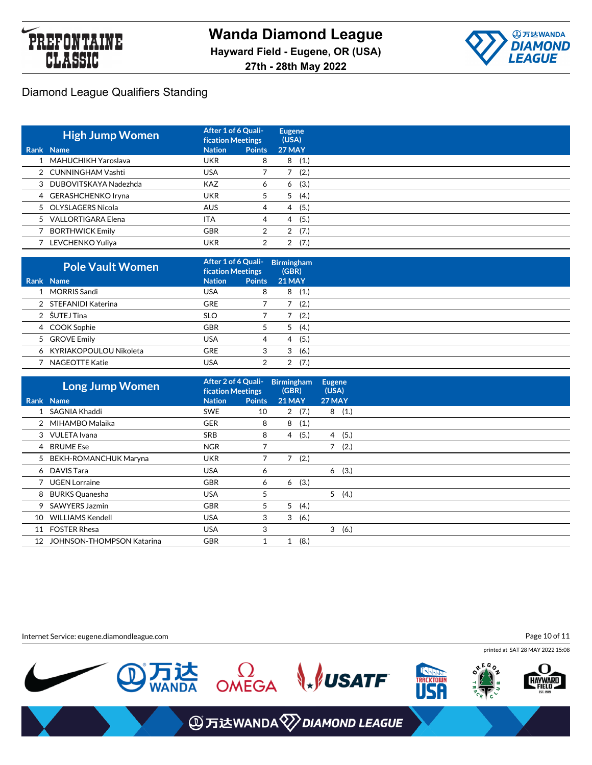



| <b>High Jump Women</b>  | After 1 of 6 Quali-<br><b>fication Meetings</b> |               | Eugene<br>(USA) |
|-------------------------|-------------------------------------------------|---------------|-----------------|
| Rank Name               | <b>Nation</b>                                   | <b>Points</b> | <b>27 MAY</b>   |
| 1 MAHUCHIKH Yaroslava   | <b>UKR</b>                                      | 8             | (1.)<br>8       |
| 2 CUNNINGHAM Vashti     | <b>USA</b>                                      |               | (2.)            |
| 3 DUBOVITSKAYA Nadezhda | <b>KAZ</b>                                      | O             | (3.)<br>6       |
| 4 GERASHCHENKO Iryna    | <b>UKR</b>                                      | 5             | (4.)<br>5       |
| 5 OLYSLAGERS Nicola     | <b>AUS</b>                                      | 4             | (5.)<br>4       |
| 5 VALLORTIGARA Elena    | <b>ITA</b>                                      | 4             | (5.)<br>4       |
| <b>BORTHWICK Emily</b>  | <b>GBR</b>                                      |               | (7.)<br>2       |
| LEVCHENKO Yuliya        | UKR                                             |               | (7.)            |

| <b>Pole Vault Women</b>  | After 1 of 6 Quali-<br><b>fication Meetings</b> |               | <b>Birmingham</b><br>(GBR) |
|--------------------------|-------------------------------------------------|---------------|----------------------------|
| Rank Name                | <b>Nation</b>                                   | <b>Points</b> | <b>21 MAY</b>              |
| 1 MORRIS Sandi           | <b>USA</b>                                      | 8             | (1.)<br>8                  |
| 2 STEFANIDI Katerina     | <b>GRE</b>                                      |               | (2.)                       |
| 2 ŠUTEJ Tina             | <b>SLO</b>                                      |               | (2.)                       |
| 4 COOK Sophie            | <b>GBR</b>                                      | 5             | (4.)<br>5                  |
| 5 GROVE Emily            | <b>USA</b>                                      | 4             | (5.)<br>4                  |
| 6 KYRIAKOPOULOU Nikoleta | <b>GRE</b>                                      | 3             | (6.)<br>3                  |
| <b>NAGEOTTE Katie</b>    | <b>USA</b>                                      |               | (7.)                       |

|    | <b>Long Jump Women</b>           | After 2 of 4 Quali-<br><b>fication Meetings</b> |               | <b>Birmingham</b><br>(GBR) |       | Eugene<br>(USA) |       |
|----|----------------------------------|-------------------------------------------------|---------------|----------------------------|-------|-----------------|-------|
|    | Rank Name                        | <b>Nation</b>                                   | <b>Points</b> | <b>21 MAY</b>              |       | <b>27 MAY</b>   |       |
|    | 1 SAGNIA Khaddi                  | <b>SWE</b>                                      | 10            |                            | 2(7.) |                 | 8(1.) |
|    | 2 MIHAMBO Malaika                | <b>GER</b>                                      | 8             | 8                          | (1.)  |                 |       |
|    | 3 VULETA Ivana                   | <b>SRB</b>                                      | 8             | 4                          | (5.)  | $\overline{4}$  | (5.)  |
|    | 4 BRUME Ese                      | <b>NGR</b>                                      |               |                            |       | 7               | (2.)  |
|    | 5 BEKH-ROMANCHUK Maryna          | <b>UKR</b>                                      |               | 7                          | (2.)  |                 |       |
|    | 6 DAVIS Tara                     | <b>USA</b>                                      | 6             |                            |       | 6               | (3.)  |
|    | 7 UGEN Lorraine                  | <b>GBR</b>                                      | 6             | 6                          | (3.)  |                 |       |
| 8  | <b>BURKS Quanesha</b>            | <b>USA</b>                                      | 5             |                            |       |                 | 5(4.) |
| 9  | <b>SAWYERS Jazmin</b>            | <b>GBR</b>                                      | 5             | 5                          | (4.)  |                 |       |
| 10 | <b>WILLIAMS Kendell</b>          | <b>USA</b>                                      | 3             | 3                          | (6.)  |                 |       |
| 11 | <b>FOSTER Rhesa</b>              | <b>USA</b>                                      | 3             |                            |       | 3               | (6.)  |
| 12 | <b>JOHNSON-THOMPSON Katarina</b> | <b>GBR</b>                                      | 1             |                            | (8.)  |                 |       |

Internet Service: eugene.diamondleague.com

Page 10 of 11